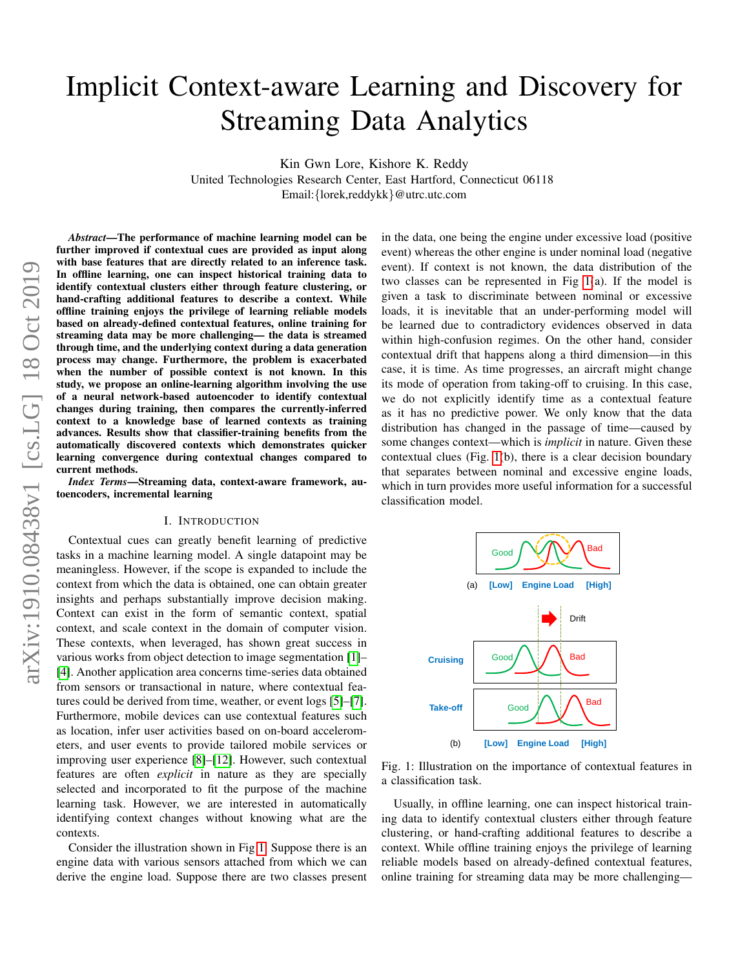# Implicit Context-aware Learning and Discovery for Streaming Data Analytics

Kin Gwn Lore, Kishore K. Reddy

United Technologies Research Center, East Hartford, Connecticut 06118 Email:{lorek,reddykk}@utrc.utc.com

*Abstract*—The performance of machine learning model can be further improved if contextual cues are provided as input along with base features that are directly related to an inference task. In offline learning, one can inspect historical training data to identify contextual clusters either through feature clustering, or hand-crafting additional features to describe a context. While offline training enjoys the privilege of learning reliable models based on already-defined contextual features, online training for streaming data may be more challenging— the data is streamed through time, and the underlying context during a data generation process may change. Furthermore, the problem is exacerbated when the number of possible context is not known. In this study, we propose an online-learning algorithm involving the use of a neural network-based autoencoder to identify contextual changes during training, then compares the currently-inferred context to a knowledge base of learned contexts as training advances. Results show that classifier-training benefits from the automatically discovered contexts which demonstrates quicker learning convergence during contextual changes compared to current methods.

*Index Terms*—Streaming data, context-aware framework, autoencoders, incremental learning

#### I. INTRODUCTION

Contextual cues can greatly benefit learning of predictive tasks in a machine learning model. A single datapoint may be meaningless. However, if the scope is expanded to include the context from which the data is obtained, one can obtain greater insights and perhaps substantially improve decision making. Context can exist in the form of semantic context, spatial context, and scale context in the domain of computer vision. These contexts, when leveraged, has shown great success in various works from object detection to image segmentation [\[1\]](#page-6-0)– [\[4\]](#page-6-1). Another application area concerns time-series data obtained from sensors or transactional in nature, where contextual features could be derived from time, weather, or event logs [\[5\]](#page-6-2)–[\[7\]](#page-6-3). Furthermore, mobile devices can use contextual features such as location, infer user activities based on on-board accelerometers, and user events to provide tailored mobile services or improving user experience [\[8\]](#page-6-4)–[\[12\]](#page-7-0). However, such contextual features are often *explicit* in nature as they are specially selected and incorporated to fit the purpose of the machine learning task. However, we are interested in automatically identifying context changes without knowing what are the contexts.

Consider the illustration shown in Fig [1.](#page-0-0) Suppose there is an engine data with various sensors attached from which we can derive the engine load. Suppose there are two classes present in the data, one being the engine under excessive load (positive event) whereas the other engine is under nominal load (negative event). If context is not known, the data distribution of the two classes can be represented in Fig  $1(a)$ . If the model is given a task to discriminate between nominal or excessive loads, it is inevitable that an under-performing model will be learned due to contradictory evidences observed in data within high-confusion regimes. On the other hand, consider contextual drift that happens along a third dimension—in this case, it is time. As time progresses, an aircraft might change its mode of operation from taking-off to cruising. In this case, we do not explicitly identify time as a contextual feature as it has no predictive power. We only know that the data distribution has changed in the passage of time—caused by some changes context—which is *implicit* in nature. Given these contextual clues (Fig. [1\(](#page-0-0)b), there is a clear decision boundary that separates between nominal and excessive engine loads, which in turn provides more useful information for a successful classification model.

<span id="page-0-0"></span>

Fig. 1: Illustration on the importance of contextual features in a classification task.

Usually, in offline learning, one can inspect historical training data to identify contextual clusters either through feature clustering, or hand-crafting additional features to describe a context. While offline training enjoys the privilege of learning reliable models based on already-defined contextual features, online training for streaming data may be more challenging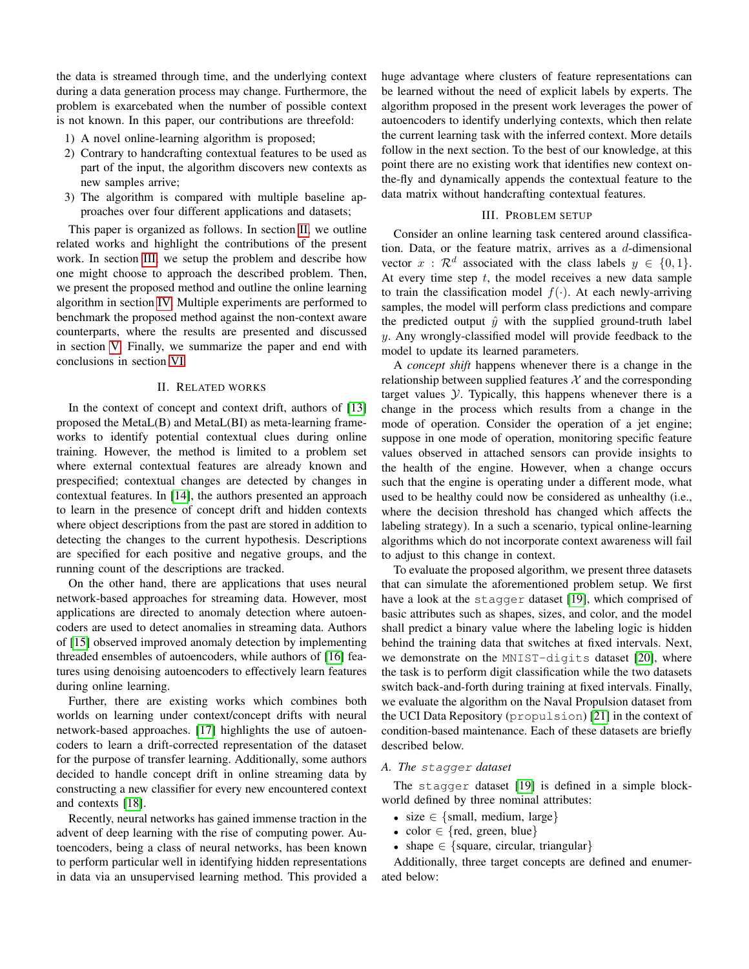the data is streamed through time, and the underlying context during a data generation process may change. Furthermore, the problem is exarcebated when the number of possible context is not known. In this paper, our contributions are threefold:

- 1) A novel online-learning algorithm is proposed;
- 2) Contrary to handcrafting contextual features to be used as part of the input, the algorithm discovers new contexts as new samples arrive;
- 3) The algorithm is compared with multiple baseline approaches over four different applications and datasets;

This paper is organized as follows. In section [II,](#page-1-0) we outline related works and highlight the contributions of the present work. In section [III,](#page-1-1) we setup the problem and describe how one might choose to approach the described problem. Then, we present the proposed method and outline the online learning algorithm in section [IV.](#page-2-0) Multiple experiments are performed to benchmark the proposed method against the non-context aware counterparts, where the results are presented and discussed in section [V.](#page-4-0) Finally, we summarize the paper and end with conclusions in section [VI.](#page-6-5)

#### II. RELATED WORKS

<span id="page-1-0"></span>In the context of concept and context drift, authors of [\[13\]](#page-7-1) proposed the MetaL(B) and MetaL(BI) as meta-learning frameworks to identify potential contextual clues during online training. However, the method is limited to a problem set where external contextual features are already known and prespecified; contextual changes are detected by changes in contextual features. In [\[14\]](#page-7-2), the authors presented an approach to learn in the presence of concept drift and hidden contexts where object descriptions from the past are stored in addition to detecting the changes to the current hypothesis. Descriptions are specified for each positive and negative groups, and the running count of the descriptions are tracked.

On the other hand, there are applications that uses neural network-based approaches for streaming data. However, most applications are directed to anomaly detection where autoencoders are used to detect anomalies in streaming data. Authors of [\[15\]](#page-7-3) observed improved anomaly detection by implementing threaded ensembles of autoencoders, while authors of [\[16\]](#page-7-4) features using denoising autoencoders to effectively learn features during online learning.

Further, there are existing works which combines both worlds on learning under context/concept drifts with neural network-based approaches. [\[17\]](#page-7-5) highlights the use of autoencoders to learn a drift-corrected representation of the dataset for the purpose of transfer learning. Additionally, some authors decided to handle concept drift in online streaming data by constructing a new classifier for every new encountered context and contexts [\[18\]](#page-7-6).

Recently, neural networks has gained immense traction in the advent of deep learning with the rise of computing power. Autoencoders, being a class of neural networks, has been known to perform particular well in identifying hidden representations in data via an unsupervised learning method. This provided a huge advantage where clusters of feature representations can be learned without the need of explicit labels by experts. The algorithm proposed in the present work leverages the power of autoencoders to identify underlying contexts, which then relate the current learning task with the inferred context. More details follow in the next section. To the best of our knowledge, at this point there are no existing work that identifies new context onthe-fly and dynamically appends the contextual feature to the data matrix without handcrafting contextual features.

# III. PROBLEM SETUP

<span id="page-1-1"></span>Consider an online learning task centered around classification. Data, or the feature matrix, arrives as a  $d$ -dimensional vector  $x : \mathbb{R}^d$  associated with the class labels  $y \in \{0, 1\}.$ At every time step  $t$ , the model receives a new data sample to train the classification model  $f(\cdot)$ . At each newly-arriving samples, the model will perform class predictions and compare the predicted output  $\hat{y}$  with the supplied ground-truth label y. Any wrongly-classified model will provide feedback to the model to update its learned parameters.

A *concept shift* happens whenever there is a change in the relationship between supplied features  $X$  and the corresponding target values  $\mathcal Y$ . Typically, this happens whenever there is a change in the process which results from a change in the mode of operation. Consider the operation of a jet engine; suppose in one mode of operation, monitoring specific feature values observed in attached sensors can provide insights to the health of the engine. However, when a change occurs such that the engine is operating under a different mode, what used to be healthy could now be considered as unhealthy (i.e., where the decision threshold has changed which affects the labeling strategy). In a such a scenario, typical online-learning algorithms which do not incorporate context awareness will fail to adjust to this change in context.

To evaluate the proposed algorithm, we present three datasets that can simulate the aforementioned problem setup. We first have a look at the stagger dataset [\[19\]](#page-7-7), which comprised of basic attributes such as shapes, sizes, and color, and the model shall predict a binary value where the labeling logic is hidden behind the training data that switches at fixed intervals. Next, we demonstrate on the MNIST-digits dataset [\[20\]](#page-7-8), where the task is to perform digit classification while the two datasets switch back-and-forth during training at fixed intervals. Finally, we evaluate the algorithm on the Naval Propulsion dataset from the UCI Data Repository (propulsion) [\[21\]](#page-7-9) in the context of condition-based maintenance. Each of these datasets are briefly described below.

#### *A. The* stagger *dataset*

The stagger dataset [\[19\]](#page-7-7) is defined in a simple blockworld defined by three nominal attributes:

- size  $\in$  {small, medium, large}
- color  $\in$  {red, green, blue}
- shape  $\in$  {square, circular, triangular}

Additionally, three target concepts are defined and enumerated below: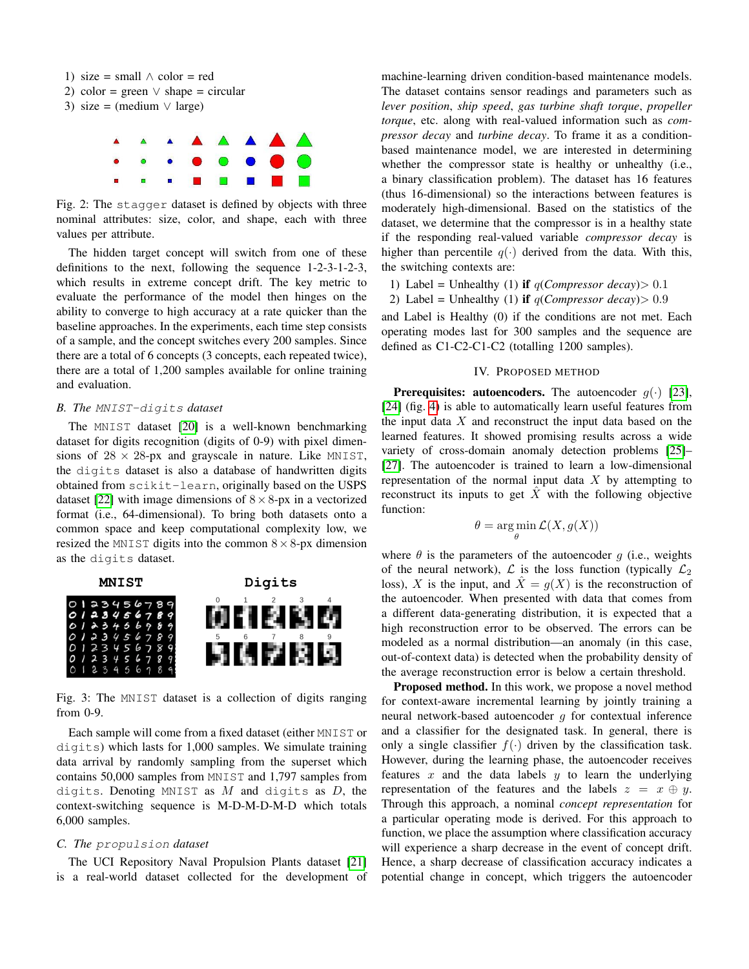- 1) size = small  $\land$  color = red
- 2) color = green  $\vee$  shape = circular
- 3) size = (medium  $\vee$  large)



Fig. 2: The stagger dataset is defined by objects with three nominal attributes: size, color, and shape, each with three values per attribute.

The hidden target concept will switch from one of these definitions to the next, following the sequence 1-2-3-1-2-3, which results in extreme concept drift. The key metric to evaluate the performance of the model then hinges on the ability to converge to high accuracy at a rate quicker than the baseline approaches. In the experiments, each time step consists of a sample, and the concept switches every 200 samples. Since there are a total of 6 concepts (3 concepts, each repeated twice), there are a total of 1,200 samples available for online training and evaluation.

# *B. The* MNIST-digits *dataset*

The MNIST dataset [\[20\]](#page-7-8) is a well-known benchmarking dataset for digits recognition (digits of 0-9) with pixel dimensions of  $28 \times 28$ -px and grayscale in nature. Like MNIST, the digits dataset is also a database of handwritten digits obtained from scikit-learn, originally based on the USPS dataset [\[22\]](#page-7-10) with image dimensions of  $8 \times 8$ -px in a vectorized format (i.e., 64-dimensional). To bring both datasets onto a common space and keep computational complexity low, we resized the MNIST digits into the common  $8 \times 8$ -px dimension as the digits dataset.



Fig. 3: The MNIST dataset is a collection of digits ranging from 0-9.

Each sample will come from a fixed dataset (either MNIST or digits) which lasts for 1,000 samples. We simulate training data arrival by randomly sampling from the superset which contains 50,000 samples from MNIST and 1,797 samples from digits. Denoting MNIST as  $M$  and digits as  $D$ , the context-switching sequence is M-D-M-D-M-D which totals 6,000 samples.

#### *C. The* propulsion *dataset*

The UCI Repository Naval Propulsion Plants dataset [\[21\]](#page-7-9) is a real-world dataset collected for the development of machine-learning driven condition-based maintenance models. The dataset contains sensor readings and parameters such as *lever position*, *ship speed*, *gas turbine shaft torque*, *propeller torque*, etc. along with real-valued information such as *compressor decay* and *turbine decay*. To frame it as a conditionbased maintenance model, we are interested in determining whether the compressor state is healthy or unhealthy (i.e., a binary classification problem). The dataset has 16 features (thus 16-dimensional) so the interactions between features is moderately high-dimensional. Based on the statistics of the dataset, we determine that the compressor is in a healthy state if the responding real-valued variable *compressor decay* is higher than percentile  $q(\cdot)$  derived from the data. With this, the switching contexts are:

- 1) Label = Unhealthy (1) if  $q(Compression decay) > 0.1$
- 2) Label = Unhealthy (1) if  $q(Compression decay) > 0.9$

and Label is Healthy (0) if the conditions are not met. Each operating modes last for 300 samples and the sequence are defined as C1-C2-C1-C2 (totalling 1200 samples).

## IV. PROPOSED METHOD

<span id="page-2-0"></span>**Prerequisites: autoencoders.** The autoencoder  $g(\cdot)$  [\[23\]](#page-7-11), [\[24\]](#page-7-12) (fig. [4\)](#page-3-0) is able to automatically learn useful features from the input data  $X$  and reconstruct the input data based on the learned features. It showed promising results across a wide variety of cross-domain anomaly detection problems [\[25\]](#page-7-13)– [\[27\]](#page-7-14). The autoencoder is trained to learn a low-dimensional representation of the normal input data  $X$  by attempting to reconstruct its inputs to get  $\hat{X}$  with the following objective function:

$$
\theta = \argmin_{\theta} \mathcal{L}(X, g(X))
$$

where  $\theta$  is the parameters of the autoencoder q (i.e., weights of the neural network),  $\mathcal L$  is the loss function (typically  $\mathcal L_2$ loss), X is the input, and  $\hat{X} = q(X)$  is the reconstruction of the autoencoder. When presented with data that comes from a different data-generating distribution, it is expected that a high reconstruction error to be observed. The errors can be modeled as a normal distribution—an anomaly (in this case, out-of-context data) is detected when the probability density of the average reconstruction error is below a certain threshold.

Proposed method. In this work, we propose a novel method for context-aware incremental learning by jointly training a neural network-based autoencoder g for contextual inference and a classifier for the designated task. In general, there is only a single classifier  $f(\cdot)$  driven by the classification task. However, during the learning phase, the autoencoder receives features  $x$  and the data labels  $y$  to learn the underlying representation of the features and the labels  $z = x \oplus y$ . Through this approach, a nominal *concept representation* for a particular operating mode is derived. For this approach to function, we place the assumption where classification accuracy will experience a sharp decrease in the event of concept drift. Hence, a sharp decrease of classification accuracy indicates a potential change in concept, which triggers the autoencoder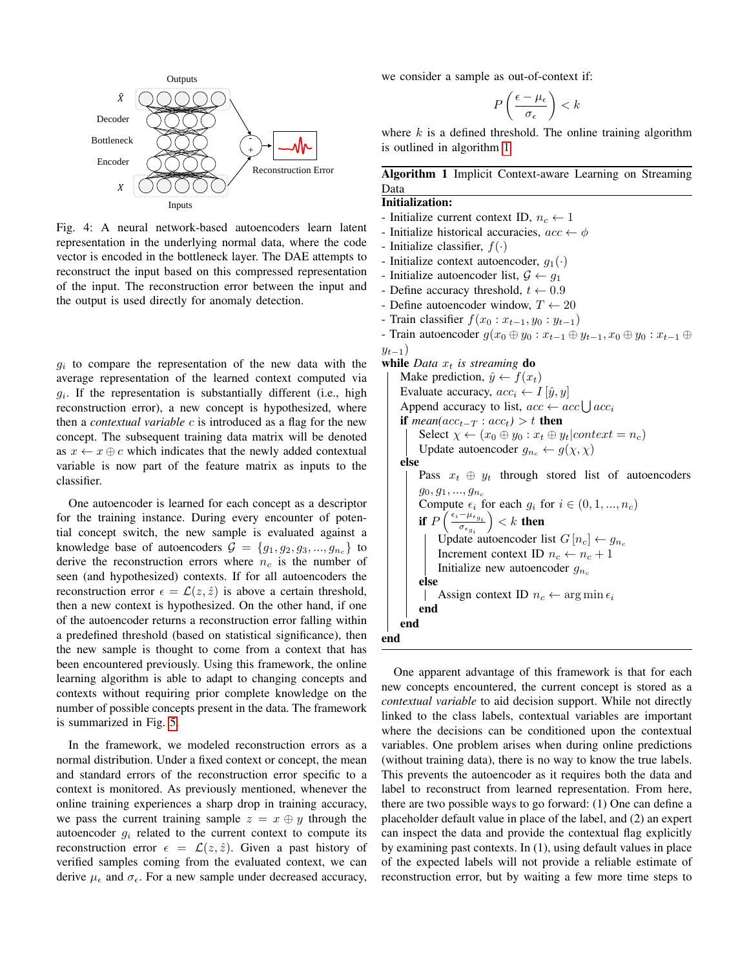<span id="page-3-0"></span>

Fig. 4: A neural network-based autoencoders learn latent representation in the underlying normal data, where the code vector is encoded in the bottleneck layer. The DAE attempts to reconstruct the input based on this compressed representation of the input. The reconstruction error between the input and the output is used directly for anomaly detection.

 $g_i$  to compare the representation of the new data with the average representation of the learned context computed via  $g_i$ . If the representation is substantially different (i.e., high reconstruction error), a new concept is hypothesized, where then a *contextual variable* c is introduced as a flag for the new concept. The subsequent training data matrix will be denoted as  $x \leftarrow x \oplus c$  which indicates that the newly added contextual variable is now part of the feature matrix as inputs to the classifier.

One autoencoder is learned for each concept as a descriptor for the training instance. During every encounter of potential concept switch, the new sample is evaluated against a knowledge base of autoencoders  $\mathcal{G} = \{g_1, g_2, g_3, ..., g_{n_c}\}\)$ derive the reconstruction errors where  $n_c$  is the number of seen (and hypothesized) contexts. If for all autoencoders the reconstruction error  $\epsilon = \mathcal{L}(z, \hat{z})$  is above a certain threshold, then a new context is hypothesized. On the other hand, if one of the autoencoder returns a reconstruction error falling within a predefined threshold (based on statistical significance), then the new sample is thought to come from a context that has been encountered previously. Using this framework, the online learning algorithm is able to adapt to changing concepts and contexts without requiring prior complete knowledge on the number of possible concepts present in the data. The framework is summarized in Fig. [5.](#page-4-1)

In the framework, we modeled reconstruction errors as a normal distribution. Under a fixed context or concept, the mean and standard errors of the reconstruction error specific to a context is monitored. As previously mentioned, whenever the online training experiences a sharp drop in training accuracy, we pass the current training sample  $z = x \oplus y$  through the autoencoder  $g_i$  related to the current context to compute its reconstruction error  $\epsilon = \mathcal{L}(z, \hat{z})$ . Given a past history of verified samples coming from the evaluated context, we can derive  $\mu_{\epsilon}$  and  $\sigma_{\epsilon}$ . For a new sample under decreased accuracy, we consider a sample as out-of-context if:

$$
P\left(\frac{\epsilon - \mu_{\epsilon}}{\sigma_{\epsilon}}\right) < k
$$

where  $k$  is a defined threshold. The online training algorithm is outlined in algorithm [1.](#page-3-1)

# <span id="page-3-1"></span>Algorithm 1 Implicit Context-aware Learning on Streaming Data

# Initialization:

- Initialize current context ID,  $n_c \leftarrow 1$
- Initialize historical accuracies,  $acc \leftarrow \phi$
- Initialize classifier,  $f(\cdot)$
- Initialize context autoencoder,  $g_1(\cdot)$
- Initialize autoencoder list,  $\mathcal{G} \leftarrow g_1$
- Define accuracy threshold,  $t \leftarrow 0.9$
- Define autoencoder window,  $T \leftarrow 20$
- Train classifier  $f(x_0 : x_{t-1}, y_0 : y_{t-1})$
- Train autoencoder  $g(x_0 \oplus y_0 : x_{t-1} \oplus y_{t-1}, x_0 \oplus y_0 : x_{t-1} \oplus y_t$  $y_{t-1}$ )

while *Data*  $x_t$  *is streaming* **do** Make prediction,  $\hat{y} \leftarrow f(x_t)$ Evaluate accuracy,  $acc_i \leftarrow I[\hat{y}, y]$ Append accuracy to list,  $acc \leftarrow acc \bigcup acc_i$ if  $mean(acc_{t-T} : acc_t) > t$  then Select  $\chi \leftarrow (x_0 \oplus y_0 : x_t \oplus y_t|context = n_c)$ Update autoencoder  $g_{n_c} \leftarrow g(\chi, \chi)$ else Pass  $x_t \oplus y_t$  through stored list of autoencoders  $g_0, g_1, ..., g_{n_c}$ Compute  $\epsilon_i$  for each  $g_i$  for  $i \in (0, 1, ..., n_c)$ if  $P\left(\frac{\epsilon_i-\mu_{\epsilon_{g_i}}}{\sigma}\right)$  $\sigma_{\epsilon_{g_i}}$  $k \leq k$  then Update autoencoder list  $G[n_c] \leftarrow q_{nc}$ Increment context ID  $n_c \leftarrow n_c + 1$ Initialize new autoencoder  $g_{n_c}$ else | Assign context ID  $n_c \leftarrow \arg \min \epsilon_i$ end end end

One apparent advantage of this framework is that for each new concepts encountered, the current concept is stored as a *contextual variable* to aid decision support. While not directly linked to the class labels, contextual variables are important where the decisions can be conditioned upon the contextual variables. One problem arises when during online predictions (without training data), there is no way to know the true labels. This prevents the autoencoder as it requires both the data and label to reconstruct from learned representation. From here, there are two possible ways to go forward: (1) One can define a placeholder default value in place of the label, and (2) an expert can inspect the data and provide the contextual flag explicitly by examining past contexts. In (1), using default values in place of the expected labels will not provide a reliable estimate of reconstruction error, but by waiting a few more time steps to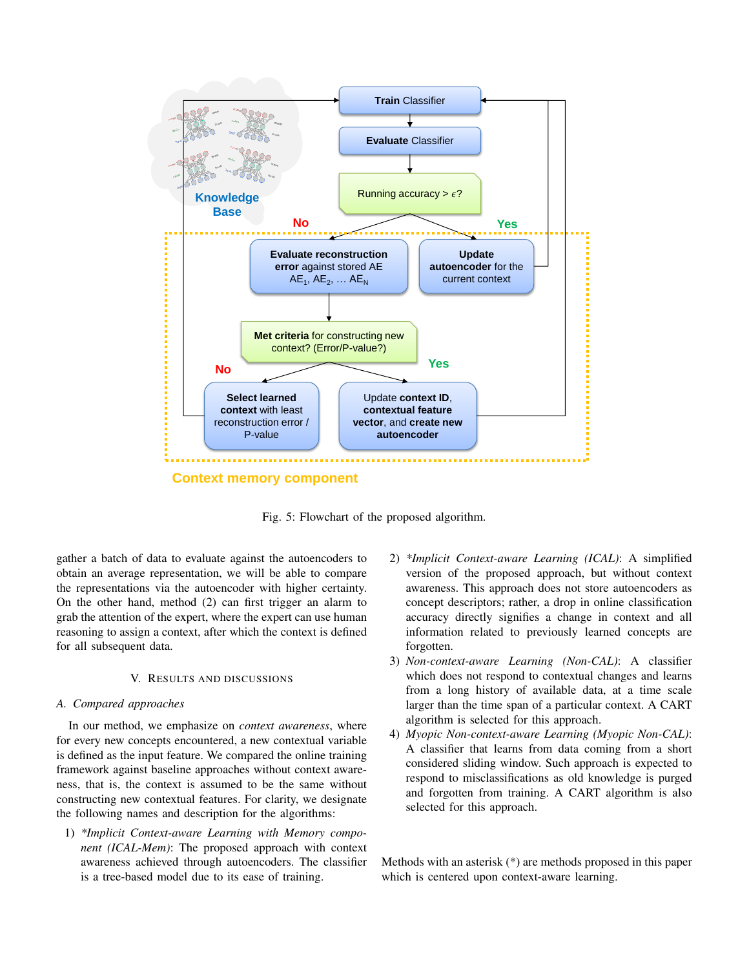<span id="page-4-1"></span>

Fig. 5: Flowchart of the proposed algorithm.

gather a batch of data to evaluate against the autoencoders to obtain an average representation, we will be able to compare the representations via the autoencoder with higher certainty. On the other hand, method (2) can first trigger an alarm to grab the attention of the expert, where the expert can use human reasoning to assign a context, after which the context is defined for all subsequent data.

## V. RESULTS AND DISCUSSIONS

#### <span id="page-4-0"></span>*A. Compared approaches*

In our method, we emphasize on *context awareness*, where for every new concepts encountered, a new contextual variable is defined as the input feature. We compared the online training framework against baseline approaches without context awareness, that is, the context is assumed to be the same without constructing new contextual features. For clarity, we designate the following names and description for the algorithms:

1) *\*Implicit Context-aware Learning with Memory component (ICAL-Mem)*: The proposed approach with context awareness achieved through autoencoders. The classifier is a tree-based model due to its ease of training.

- 2) *\*Implicit Context-aware Learning (ICAL)*: A simplified version of the proposed approach, but without context awareness. This approach does not store autoencoders as concept descriptors; rather, a drop in online classification accuracy directly signifies a change in context and all information related to previously learned concepts are forgotten.
- 3) *Non-context-aware Learning (Non-CAL)*: A classifier which does not respond to contextual changes and learns from a long history of available data, at a time scale larger than the time span of a particular context. A CART algorithm is selected for this approach.
- 4) *Myopic Non-context-aware Learning (Myopic Non-CAL)*: A classifier that learns from data coming from a short considered sliding window. Such approach is expected to respond to misclassifications as old knowledge is purged and forgotten from training. A CART algorithm is also selected for this approach.

Methods with an asterisk (\*) are methods proposed in this paper which is centered upon context-aware learning.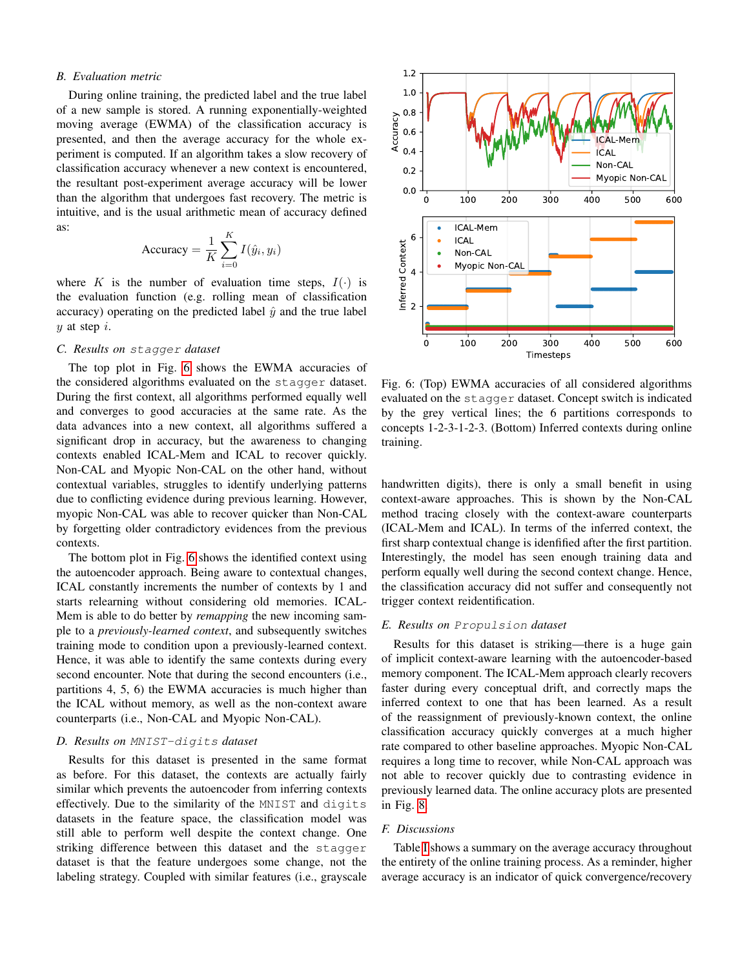#### *B. Evaluation metric*

During online training, the predicted label and the true label of a new sample is stored. A running exponentially-weighted moving average (EWMA) of the classification accuracy is presented, and then the average accuracy for the whole experiment is computed. If an algorithm takes a slow recovery of classification accuracy whenever a new context is encountered, the resultant post-experiment average accuracy will be lower than the algorithm that undergoes fast recovery. The metric is intuitive, and is the usual arithmetic mean of accuracy defined as:

$$
\text{Accuracy} = \frac{1}{K} \sum_{i=0}^{K} I(\hat{y}_i, y_i)
$$

where K is the number of evaluation time steps,  $I(\cdot)$  is the evaluation function (e.g. rolling mean of classification accuracy) operating on the predicted label  $\hat{y}$  and the true label  $y$  at step  $i$ .

## *C. Results on* stagger *dataset*

The top plot in Fig. [6](#page-5-0) shows the EWMA accuracies of the considered algorithms evaluated on the stagger dataset. During the first context, all algorithms performed equally well and converges to good accuracies at the same rate. As the data advances into a new context, all algorithms suffered a significant drop in accuracy, but the awareness to changing contexts enabled ICAL-Mem and ICAL to recover quickly. Non-CAL and Myopic Non-CAL on the other hand, without contextual variables, struggles to identify underlying patterns due to conflicting evidence during previous learning. However, myopic Non-CAL was able to recover quicker than Non-CAL by forgetting older contradictory evidences from the previous contexts.

The bottom plot in Fig. [6](#page-5-0) shows the identified context using the autoencoder approach. Being aware to contextual changes, ICAL constantly increments the number of contexts by 1 and starts relearning without considering old memories. ICAL-Mem is able to do better by *remapping* the new incoming sample to a *previously-learned context*, and subsequently switches training mode to condition upon a previously-learned context. Hence, it was able to identify the same contexts during every second encounter. Note that during the second encounters (i.e., partitions 4, 5, 6) the EWMA accuracies is much higher than the ICAL without memory, as well as the non-context aware counterparts (i.e., Non-CAL and Myopic Non-CAL).

## *D. Results on* MNIST-digits *dataset*

Results for this dataset is presented in the same format as before. For this dataset, the contexts are actually fairly similar which prevents the autoencoder from inferring contexts effectively. Due to the similarity of the MNIST and digits datasets in the feature space, the classification model was still able to perform well despite the context change. One striking difference between this dataset and the stagger dataset is that the feature undergoes some change, not the labeling strategy. Coupled with similar features (i.e., grayscale

<span id="page-5-0"></span>

Fig. 6: (Top) EWMA accuracies of all considered algorithms evaluated on the stagger dataset. Concept switch is indicated by the grey vertical lines; the 6 partitions corresponds to concepts 1-2-3-1-2-3. (Bottom) Inferred contexts during online training.

handwritten digits), there is only a small benefit in using context-aware approaches. This is shown by the Non-CAL method tracing closely with the context-aware counterparts (ICAL-Mem and ICAL). In terms of the inferred context, the first sharp contextual change is idenfified after the first partition. Interestingly, the model has seen enough training data and perform equally well during the second context change. Hence, the classification accuracy did not suffer and consequently not trigger context reidentification.

#### *E. Results on* Propulsion *dataset*

Results for this dataset is striking—there is a huge gain of implicit context-aware learning with the autoencoder-based memory component. The ICAL-Mem approach clearly recovers faster during every conceptual drift, and correctly maps the inferred context to one that has been learned. As a result of the reassignment of previously-known context, the online classification accuracy quickly converges at a much higher rate compared to other baseline approaches. Myopic Non-CAL requires a long time to recover, while Non-CAL approach was not able to recover quickly due to contrasting evidence in previously learned data. The online accuracy plots are presented in Fig. [8.](#page-6-6)

## *F. Discussions*

Table [I](#page-6-7) shows a summary on the average accuracy throughout the entirety of the online training process. As a reminder, higher average accuracy is an indicator of quick convergence/recovery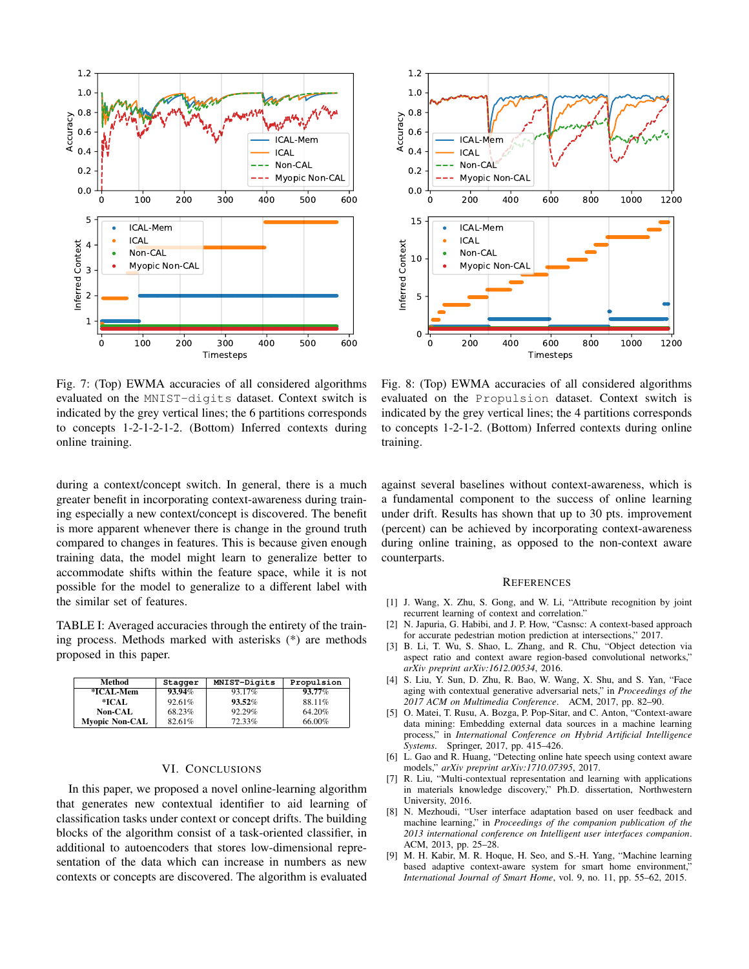

<span id="page-6-6"></span>

Fig. 7: (Top) EWMA accuracies of all considered algorithms evaluated on the MNIST-digits dataset. Context switch is indicated by the grey vertical lines; the 6 partitions corresponds to concepts 1-2-1-2-1-2. (Bottom) Inferred contexts during online training.

during a context/concept switch. In general, there is a much greater benefit in incorporating context-awareness during training especially a new context/concept is discovered. The benefit is more apparent whenever there is change in the ground truth compared to changes in features. This is because given enough training data, the model might learn to generalize better to accommodate shifts within the feature space, while it is not possible for the model to generalize to a different label with the similar set of features.

<span id="page-6-7"></span>TABLE I: Averaged accuracies through the entirety of the training process. Methods marked with asterisks (\*) are methods proposed in this paper.

| Method                | Stagger | MNIST-Digits | Propulsion |
|-----------------------|---------|--------------|------------|
| *ICAL-Mem             | 93.94%  | 93.17%       | $93.77\%$  |
| $*ICAI$               | 92.61%  | $93.52\%$    | 88.11%     |
| <b>Non-CAL</b>        | 68.23%  | 92.29%       | 64.20%     |
| <b>Myopic Non-CAL</b> | 82.61%  | 72.33%       | 66.00%     |

# VI. CONCLUSIONS

<span id="page-6-5"></span>In this paper, we proposed a novel online-learning algorithm that generates new contextual identifier to aid learning of classification tasks under context or concept drifts. The building blocks of the algorithm consist of a task-oriented classifier, in additional to autoencoders that stores low-dimensional representation of the data which can increase in numbers as new contexts or concepts are discovered. The algorithm is evaluated

Fig. 8: (Top) EWMA accuracies of all considered algorithms evaluated on the Propulsion dataset. Context switch is indicated by the grey vertical lines; the 4 partitions corresponds to concepts 1-2-1-2. (Bottom) Inferred contexts during online training.

against several baselines without context-awareness, which is a fundamental component to the success of online learning under drift. Results has shown that up to 30 pts. improvement (percent) can be achieved by incorporating context-awareness during online training, as opposed to the non-context aware counterparts.

#### **REFERENCES**

- <span id="page-6-0"></span>[1] J. Wang, X. Zhu, S. Gong, and W. Li, "Attribute recognition by joint recurrent learning of context and correlation."
- [2] N. Japuria, G. Habibi, and J. P. How, "Casnsc: A context-based approach for accurate pedestrian motion prediction at intersections," 2017.
- [3] B. Li, T. Wu, S. Shao, L. Zhang, and R. Chu, "Object detection via aspect ratio and context aware region-based convolutional networks," *arXiv preprint arXiv:1612.00534*, 2016.
- <span id="page-6-1"></span>[4] S. Liu, Y. Sun, D. Zhu, R. Bao, W. Wang, X. Shu, and S. Yan, "Face aging with contextual generative adversarial nets," in *Proceedings of the 2017 ACM on Multimedia Conference*. ACM, 2017, pp. 82–90.
- <span id="page-6-2"></span>[5] O. Matei, T. Rusu, A. Bozga, P. Pop-Sitar, and C. Anton, "Context-aware data mining: Embedding external data sources in a machine learning process," in *International Conference on Hybrid Artificial Intelligence Systems*. Springer, 2017, pp. 415–426.
- [6] L. Gao and R. Huang, "Detecting online hate speech using context aware models," *arXiv preprint arXiv:1710.07395*, 2017.
- <span id="page-6-3"></span>[7] R. Liu, "Multi-contextual representation and learning with applications in materials knowledge discovery," Ph.D. dissertation, Northwestern University, 2016.
- <span id="page-6-4"></span>[8] N. Mezhoudi, "User interface adaptation based on user feedback and machine learning," in *Proceedings of the companion publication of the 2013 international conference on Intelligent user interfaces companion*. ACM, 2013, pp. 25–28.
- [9] M. H. Kabir, M. R. Hoque, H. Seo, and S.-H. Yang, "Machine learning based adaptive context-aware system for smart home environment." *International Journal of Smart Home*, vol. 9, no. 11, pp. 55–62, 2015.